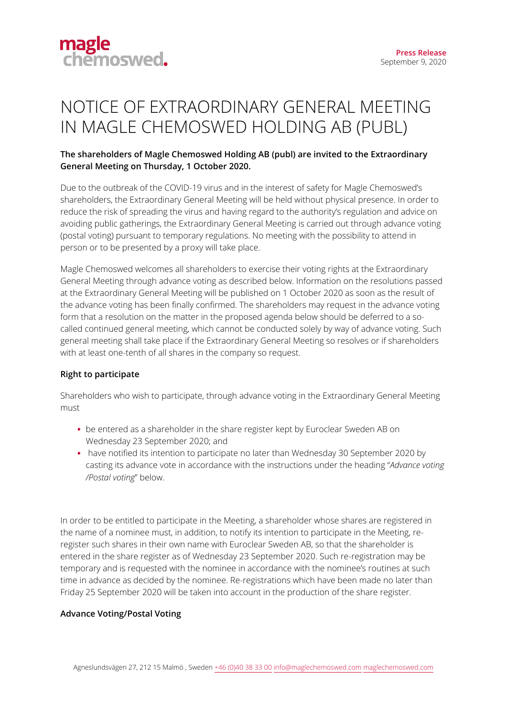

# NOTICE OF EXTRAORDINARY GENERAL MEETING IN MAGLE CHEMOSWED HOLDING AB (PUBL)

# **The shareholders of Magle Chemoswed Holding AB (publ) are invited to the Extraordinary General Meeting on Thursday, 1 October 2020.**

Due to the outbreak of the COVID-19 virus and in the interest of safety for Magle Chemoswed's shareholders, the Extraordinary General Meeting will be held without physical presence. In order to reduce the risk of spreading the virus and having regard to the authority's regulation and advice on avoiding public gatherings, the Extraordinary General Meeting is carried out through advance voting (postal voting) pursuant to temporary regulations. No meeting with the possibility to attend in person or to be presented by a proxy will take place.

Magle Chemoswed welcomes all shareholders to exercise their voting rights at the Extraordinary General Meeting through advance voting as described below. Information on the resolutions passed at the Extraordinary General Meeting will be published on 1 October 2020 as soon as the result of the advance voting has been finally confirmed. The shareholders may request in the advance voting form that a resolution on the matter in the proposed agenda below should be deferred to a socalled continued general meeting, which cannot be conducted solely by way of advance voting. Such general meeting shall take place if the Extraordinary General Meeting so resolves or if shareholders with at least one-tenth of all shares in the company so request.

# **Right to participate**

Shareholders who wish to participate, through advance voting in the Extraordinary General Meeting must

- **•** be entered as a shareholder in the share register kept by Euroclear Sweden AB on Wednesday 23 September 2020; and
- **•** have notified its intention to participate no later than Wednesday 30 September 2020 by casting its advance vote in accordance with the instructions under the heading "*Advance voting /Postal voting*" below.

In order to be entitled to participate in the Meeting, a shareholder whose shares are registered in the name of a nominee must, in addition, to notify its intention to participate in the Meeting, reregister such shares in their own name with Euroclear Sweden AB, so that the shareholder is entered in the share register as of Wednesday 23 September 2020. Such re-registration may be temporary and is requested with the nominee in accordance with the nominee's routines at such time in advance as decided by the nominee. Re-registrations which have been made no later than Friday 25 September 2020 will be taken into account in the production of the share register.

#### **Advance Voting/Postal Voting**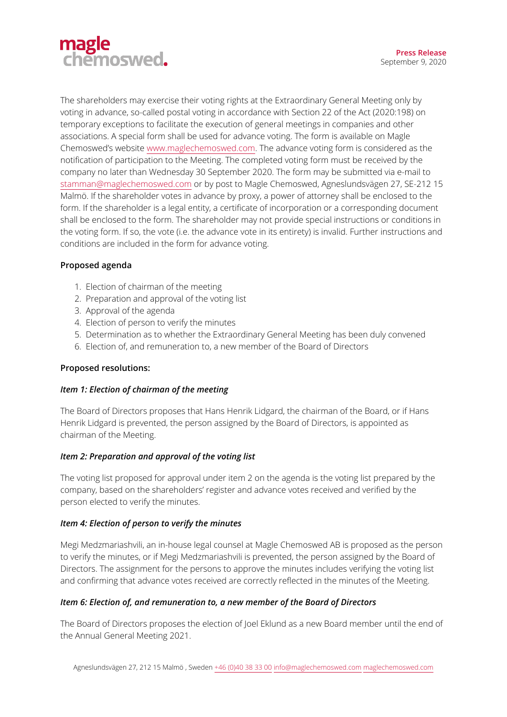

The shareholders may exercise their voting rights at the Extraordinary General Meeting only by voting in advance, so-called postal voting in accordance with Section 22 of the Act (2020:198) on temporary exceptions to facilitate the execution of general meetings in companies and other associations. A special form shall be used for advance voting. The form is available on Magle Chemoswed's website [www.maglechemoswed.com.](http://www.maglechemoswed.com/) The advance voting form is considered as the notification of participation to the Meeting. The completed voting form must be received by the company no later than Wednesday 30 September 2020. The form may be submitted via e-mail to stamman@maglechemoswed.com or by post to Magle Chemoswed, Agneslundsvägen 27, SE-212 15 Malmö. If the shareholder votes in advance by proxy, a power of attorney shall be enclosed to the form. If the shareholder is a legal entity, a certificate of incorporation or a corresponding document shall be enclosed to the form. The shareholder may not provide special instructions or conditions in the voting form. If so, the vote (i.e. the advance vote in its entirety) is invalid. Further instructions and conditions are included in the form for advance voting.

### **Proposed agenda**

- 1. Election of chairman of the meeting
- 2. Preparation and approval of the voting list
- 3. Approval of the agenda
- 4. Election of person to verify the minutes
- 5. Determination as to whether the Extraordinary General Meeting has been duly convened
- 6. Election of, and remuneration to, a new member of the Board of Directors

#### **Proposed resolutions:**

#### *Item 1: Election of chairman of the meeting*

The Board of Directors proposes that Hans Henrik Lidgard, the chairman of the Board, or if Hans Henrik Lidgard is prevented, the person assigned by the Board of Directors, is appointed as chairman of the Meeting.

#### *Item 2: Preparation and approval of the voting list*

The voting list proposed for approval under item 2 on the agenda is the voting list prepared by the company, based on the shareholders' register and advance votes received and verified by the person elected to verify the minutes.

#### *Item 4: Election of person to verify the minutes*

Megi Medzmariashvili, an in-house legal counsel at Magle Chemoswed AB is proposed as the person to verify the minutes, or if Megi Medzmariashvili is prevented, the person assigned by the Board of Directors. The assignment for the persons to approve the minutes includes verifying the voting list and confirming that advance votes received are correctly reflected in the minutes of the Meeting.

# *Item 6: Election of, and remuneration to, a new member of the Board of Directors*

The Board of Directors proposes the election of Joel Eklund as a new Board member until the end of the Annual General Meeting 2021.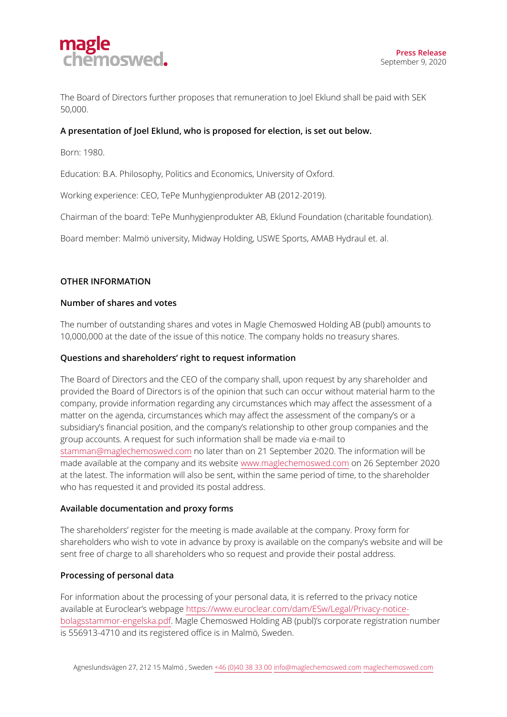

The Board of Directors further proposes that remuneration to Joel Eklund shall be paid with SEK 50,000.

# **A presentation of Joel Eklund, who is proposed for election, is set out below.**

Born: 1980.

Education: B.A. Philosophy, Politics and Economics, University of Oxford.

Working experience: CEO, TePe Munhygienprodukter AB (2012-2019).

Chairman of the board: TePe Munhygienprodukter AB, Eklund Foundation (charitable foundation).

Board member: Malmö university, Midway Holding, USWE Sports, AMAB Hydraul et. al.

# **OTHER INFORMATION**

# **Number of shares and votes**

The number of outstanding shares and votes in Magle Chemoswed Holding AB (publ) amounts to 10,000,000 at the date of the issue of this notice. The company holds no treasury shares.

# **Questions and shareholders' right to request information**

The Board of Directors and the CEO of the company shall, upon request by any shareholder and provided the Board of Directors is of the opinion that such can occur without material harm to the company, provide information regarding any circumstances which may affect the assessment of a matter on the agenda, circumstances which may affect the assessment of the company's or a subsidiary's financial position, and the company's relationship to other group companies and the group accounts. A request for such information shall be made via e-mail to stamman@maglechemoswed.com no later than on 21 September 2020. The information will be made available at the company and its website [www.maglechemoswed.com](http://www.maglechemoswed.com/) on 26 September 2020 at the latest. The information will also be sent, within the same period of time, to the shareholder who has requested it and provided its postal address.

# **Available documentation and proxy forms**

The shareholders' register for the meeting is made available at the company. Proxy form for shareholders who wish to vote in advance by proxy is available on the company's website and will be sent free of charge to all shareholders who so request and provide their postal address.

# **Processing of personal data**

For information about the processing of your personal data, it is referred to the privacy notice available at Euroclear's webpage [https://www.euroclear.com/dam/ESw/Legal/Privacy-notice](https://www.euroclear.com/dam/ESw/Legal/Privacy-notice-bolagsstammor-engelska.pdf)[bolagsstammor-engelska.pdf.](https://www.euroclear.com/dam/ESw/Legal/Privacy-notice-bolagsstammor-engelska.pdf) Magle Chemoswed Holding AB (publ)'s corporate registration number is 556913-4710 and its registered office is in Malmö, Sweden.